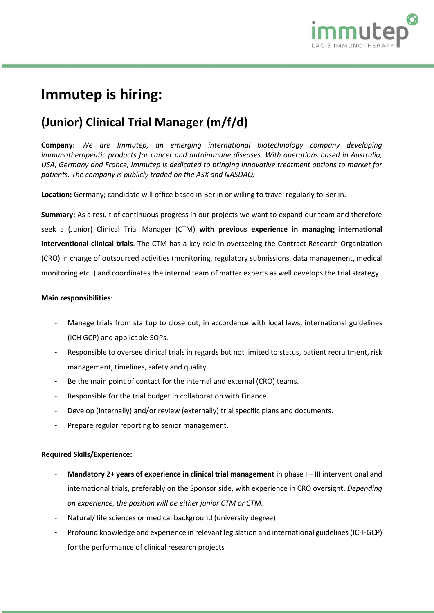

# **Immutep is hiring:**

## **(Junior) Clinical Trial Manager (m/f/d)**

**Company:** *We are Immutep, an emerging international biotechnology company developing immunotherapeutic products for cancer and autoimmune diseases. With operations based in Australia, USA, Germany and France, Immutep is dedicated to bringing innovative treatment options to market for patients. The company is publicly traded on the ASX and NASDAQ.*

**Location:** Germany; candidate will office based in Berlin or willing to travel regularly to Berlin.

**Summary:** As a result of continuous progress in our projects we want to expand our team and therefore seek a (Junior) Clinical Trial Manager (CTM) **with previous experience in managing international interventional clinical trials**. The CTM has a key role in overseeing the Contract Research Organization (CRO) in charge of outsourced activities (monitoring, regulatory submissions, data management, medical monitoring etc..) and coordinates the internal team of matter experts as well develops the trial strategy.

#### **Main responsibilities**:

- Manage trials from startup to close out, in accordance with local laws, international guidelines (ICH GCP) and applicable SOPs.
- Responsible to oversee clinical trials in regards but not limited to status, patient recruitment, risk management, timelines, safety and quality.
- Be the main point of contact for the internal and external (CRO) teams.
- Responsible for the trial budget in collaboration with Finance.
- Develop (internally) and/or review (externally) trial specific plans and documents.
- Prepare regular reporting to senior management.

### **Required Skills/Experience:**

- **Mandatory 2+ years of experience in clinical trial management** in phase I-III interventional and international trials, preferably on the Sponsor side, with experience in CRO oversight. *Depending on experience, the position will be either junior CTM or CTM.*
- Natural/ life sciences or medical background (university degree)
- Profound knowledge and experience in relevant legislation and international guidelines (ICH-GCP) for the performance of clinical research projects